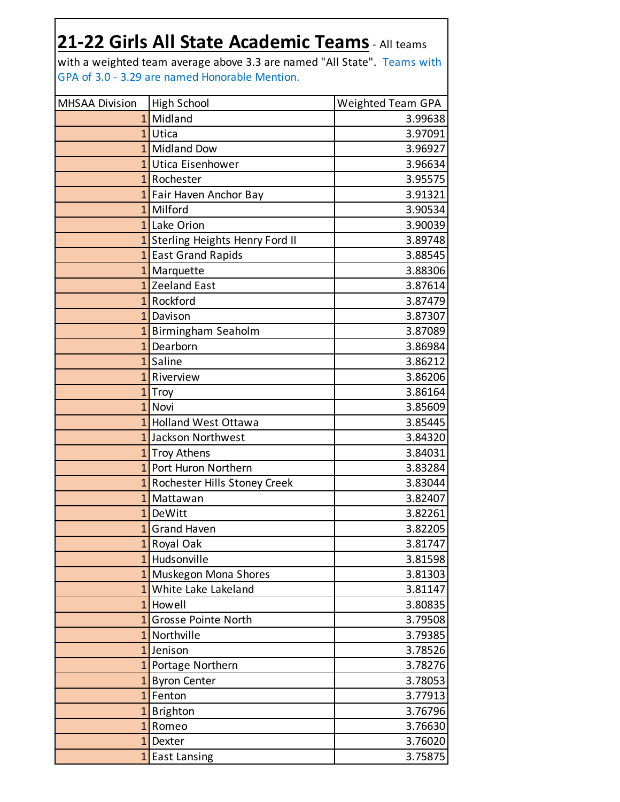| 21-22 Girls All State Academic Teams - All teams |                                                                          |                          |
|--------------------------------------------------|--------------------------------------------------------------------------|--------------------------|
|                                                  | with a weighted team average above 3.3 are named "All State". Teams with |                          |
|                                                  | GPA of 3.0 - 3.29 are named Honorable Mention.                           |                          |
| <b>MHSAA Division</b>                            | <b>High School</b>                                                       | <b>Weighted Team GPA</b> |
|                                                  | 1 Midland                                                                | 3.99638                  |
|                                                  | 1 Utica                                                                  | 3.97091                  |
|                                                  | 1 Midland Dow                                                            | 3.96927                  |
|                                                  | 1 Utica Eisenhower                                                       | 3.96634                  |
|                                                  | 1 Rochester                                                              | 3.95575                  |
|                                                  | 1 Fair Haven Anchor Bay                                                  | 3.91321                  |
|                                                  | 1 Milford                                                                | 3.90534                  |
|                                                  | 1 Lake Orion                                                             | 3.90039                  |
|                                                  | 1 Sterling Heights Henry Ford II                                         | 3.89748                  |
|                                                  | 1 East Grand Rapids                                                      | 3.88545                  |
|                                                  | 1 Marquette                                                              | 3.88306                  |
|                                                  | 1 Zeeland East                                                           | 3.87614                  |
|                                                  | 1 Rockford                                                               | 3.87479                  |
|                                                  | 1 Davison                                                                | 3.87307                  |
|                                                  | 1 Birmingham Seaholm                                                     | 3.87089                  |
|                                                  | 1 Dearborn                                                               | 3.86984                  |
|                                                  | 1 Saline                                                                 | 3.86212                  |
|                                                  | 1 Riverview                                                              | 3.86206                  |
|                                                  | 1 Troy                                                                   | 3.86164                  |
|                                                  | 1 Novi                                                                   | 3.85609                  |
|                                                  | 1 Holland West Ottawa                                                    | 3.85445                  |
|                                                  | 1 Jackson Northwest                                                      | 3.84320                  |
|                                                  | 1 Troy Athens                                                            | 3.84031                  |
|                                                  | 1 Port Huron Northern                                                    | 3.83284                  |
|                                                  | 1 Rochester Hills Stoney Creek                                           | 3.83044                  |
|                                                  | 1 Mattawan                                                               | 3.82407                  |
|                                                  | 1 DeWitt                                                                 | 3.82261                  |
|                                                  | 1 Grand Haven                                                            | 3.82205                  |
|                                                  | 1 Royal Oak                                                              | 3.81747                  |
|                                                  | 1 Hudsonville                                                            | 3.81598                  |
|                                                  | 1 Muskegon Mona Shores                                                   | 3.81303                  |
|                                                  | 1 White Lake Lakeland                                                    | 3.81147                  |
|                                                  | 1 Howell                                                                 | 3.80835                  |
|                                                  | 1 Grosse Pointe North                                                    | 3.79508                  |
|                                                  | 1 Northville                                                             | 3.79385                  |
|                                                  | 1 Jenison                                                                | 3.78526                  |
|                                                  | 1 Portage Northern                                                       | 3.78276                  |
|                                                  | 1 Byron Center                                                           | 3.78053                  |
|                                                  | 1 Fenton                                                                 | 3.77913                  |
|                                                  | 1 Brighton                                                               | 3.76796                  |
|                                                  | 1 Romeo                                                                  | 3.76630                  |
|                                                  | 1 Dexter                                                                 | 3.76020                  |
|                                                  | 1 East Lansing                                                           | 3.75875                  |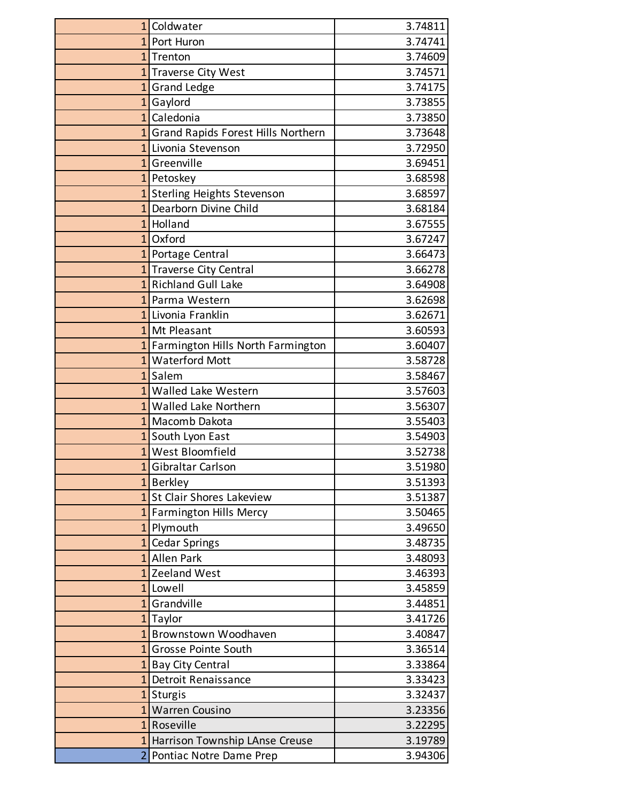| $1\vert$        | Coldwater                          | 3.74811 |
|-----------------|------------------------------------|---------|
| $\overline{1}$  | Port Huron                         | 3.74741 |
|                 | 1 Trenton                          | 3.74609 |
|                 | <b>Traverse City West</b>          | 3.74571 |
|                 | 1 Grand Ledge                      | 3.74175 |
| $\overline{1}$  | Gaylord                            | 3.73855 |
|                 | 1 Caledonia                        | 3.73850 |
|                 | Grand Rapids Forest Hills Northern | 3.73648 |
|                 | 1 Livonia Stevenson                | 3.72950 |
| $\overline{1}$  | Greenville                         | 3.69451 |
|                 | 1 Petoskey                         | 3.68598 |
|                 | <b>Sterling Heights Stevenson</b>  | 3.68597 |
|                 | 1 Dearborn Divine Child            | 3.68184 |
| $\overline{1}$  | Holland                            | 3.67555 |
| $\overline{1}$  | Oxford                             | 3.67247 |
| $1\overline{ }$ | Portage Central                    | 3.66473 |
|                 | 1 Traverse City Central            | 3.66278 |
| $\overline{1}$  | <b>Richland Gull Lake</b>          | 3.64908 |
| 1 <sup>1</sup>  | Parma Western                      | 3.62698 |
|                 | Livonia Franklin                   | 3.62671 |
|                 | 1 Mt Pleasant                      | 3.60593 |
| $\overline{1}$  | Farmington Hills North Farmington  | 3.60407 |
| $\overline{1}$  | <b>Waterford Mott</b>              | 3.58728 |
| $\overline{1}$  | Salem                              | 3.58467 |
| 1 <sup>1</sup>  | <b>Walled Lake Western</b>         | 3.57603 |
| $\overline{1}$  | <b>Walled Lake Northern</b>        | 3.56307 |
| 1 <sub>1</sub>  | Macomb Dakota                      | 3.55403 |
|                 | South Lyon East                    | 3.54903 |
| $1\vert$        | West Bloomfield                    | 3.52738 |
| $\overline{1}$  | Gibraltar Carlson                  | 3.51980 |
|                 | 1 Berkley                          | 3.51393 |
| $\overline{1}$  | <b>St Clair Shores Lakeview</b>    | 3.51387 |
|                 | 1 Farmington Hills Mercy           | 3.50465 |
|                 | 1 Plymouth                         | 3.49650 |
|                 | 1 Cedar Springs                    | 3.48735 |
|                 | 1 Allen Park                       | 3.48093 |
|                 | 1 Zeeland West                     | 3.46393 |
|                 | 1 Lowell                           | 3.45859 |
|                 | 1 Grandville                       | 3.44851 |
|                 | 1 Taylor                           | 3.41726 |
|                 | 1 Brownstown Woodhaven             | 3.40847 |
| $1\vert$        | <b>Grosse Pointe South</b>         | 3.36514 |
|                 | 1 Bay City Central                 | 3.33864 |
| $1\vert$        | <b>Detroit Renaissance</b>         | 3.33423 |
|                 | 1 Sturgis                          | 3.32437 |
|                 | 1 Warren Cousino                   | 3.23356 |
|                 | 1 Roseville                        | 3.22295 |
|                 | 1 Harrison Township LAnse Creuse   | 3.19789 |
|                 | Pontiac Notre Dame Prep            | 3.94306 |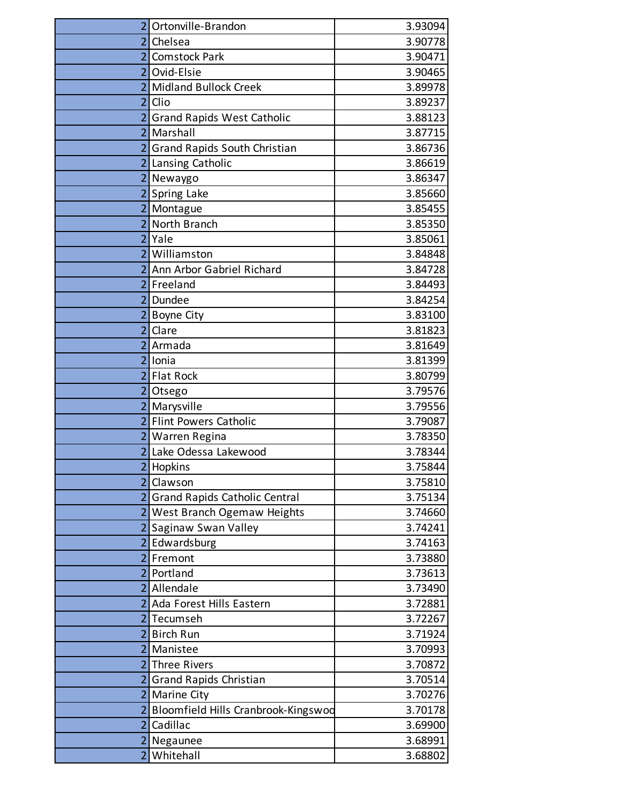|                | Ortonville-Brandon                   | 3.93094 |
|----------------|--------------------------------------|---------|
| $\overline{2}$ | Chelsea                              | 3.90778 |
|                | <b>Comstock Park</b>                 | 3.90471 |
|                | Ovid-Elsie                           | 3.90465 |
|                | 2 Midland Bullock Creek              | 3.89978 |
| $\overline{2}$ | Clio                                 | 3.89237 |
|                | <b>Grand Rapids West Catholic</b>    | 3.88123 |
|                | Marshall                             | 3.87715 |
|                | 2 Grand Rapids South Christian       | 3.86736 |
|                | Lansing Catholic                     | 3.86619 |
|                | Newaygo                              | 3.86347 |
|                | Spring Lake                          | 3.85660 |
|                | 2 Montague                           | 3.85455 |
| $\overline{2}$ | North Branch                         | 3.85350 |
| $\overline{2}$ | Yale                                 | 3.85061 |
|                | Williamston                          | 3.84848 |
|                | 2 Ann Arbor Gabriel Richard          | 3.84728 |
| $\overline{2}$ | Freeland                             | 3.84493 |
|                | Dundee                               | 3.84254 |
|                | <b>Boyne City</b>                    | 3.83100 |
| $\overline{2}$ | Clare                                | 3.81823 |
| $\overline{2}$ | Armada                               | 3.81649 |
| $\overline{2}$ | Ionia                                | 3.81399 |
|                | <b>Flat Rock</b>                     | 3.80799 |
|                | Otsego                               | 3.79576 |
|                | Marysville                           | 3.79556 |
|                | <b>Flint Powers Catholic</b>         | 3.79087 |
|                | <b>Warren Regina</b>                 | 3.78350 |
|                | Lake Odessa Lakewood                 | 3.78344 |
| $\overline{2}$ | Hopkins                              | 3.75844 |
|                | Clawson                              | 3.75810 |
|                | <b>Grand Rapids Catholic Central</b> | 3.75134 |
|                | West Branch Ogemaw Heights           | 3.74660 |
|                | Saginaw Swan Valley                  | 3.74241 |
|                | 2 Edwardsburg                        | 3.74163 |
| $\overline{2}$ | Fremont                              | 3.73880 |
|                | Portland                             | 3.73613 |
|                | 2 Allendale                          | 3.73490 |
|                | 2 Ada Forest Hills Eastern           | 3.72881 |
| $\overline{2}$ | Tecumseh                             | 3.72267 |
|                | 2 Birch Run                          | 3.71924 |
|                | 2 Manistee                           | 3.70993 |
|                | 2 Three Rivers                       | 3.70872 |
|                | <b>Grand Rapids Christian</b>        | 3.70514 |
|                | 2 Marine City                        | 3.70276 |
|                | Bloomfield Hills Cranbrook-Kingswod  | 3.70178 |
|                | Cadillac                             | 3.69900 |
|                | Negaunee                             | 3.68991 |
|                | Whitehall                            | 3.68802 |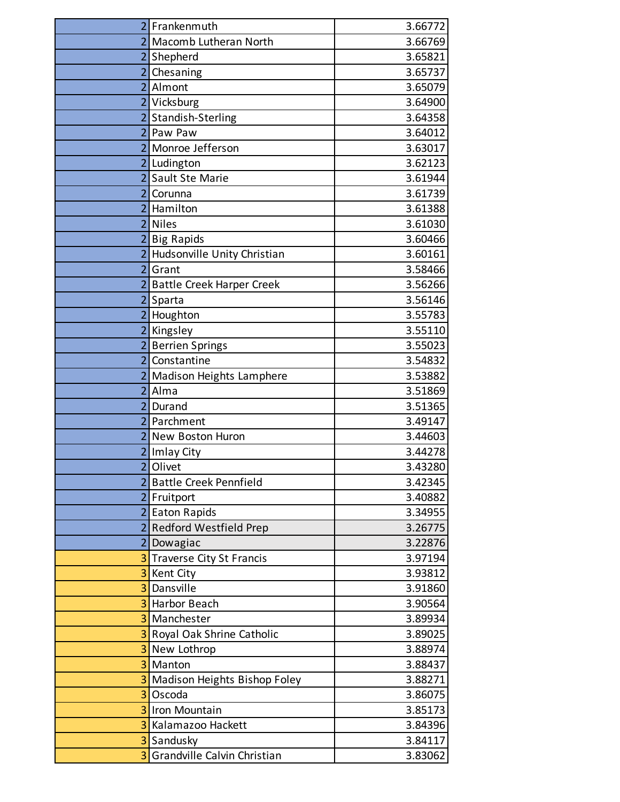|                                             | 2 Frankenmuth                        | 3.66772            |
|---------------------------------------------|--------------------------------------|--------------------|
|                                             | Macomb Lutheran North                | 3.66769            |
|                                             | Shepherd                             | 3.65821            |
|                                             | Chesaning                            | 3.65737            |
|                                             | 2 Almont                             | 3.65079            |
|                                             | Vicksburg                            | 3.64900            |
|                                             | Standish-Sterling                    | 3.64358            |
|                                             | Paw Paw                              | 3.64012            |
|                                             | Monroe Jefferson                     | 3.63017            |
|                                             | Ludington                            | 3.62123            |
|                                             | Sault Ste Marie                      | 3.61944            |
| $\overline{2}$                              | Corunna                              | 3.61739            |
|                                             | Hamilton                             | 3.61388            |
| $\overline{2}$                              | <b>Niles</b>                         | 3.61030            |
|                                             | <b>Big Rapids</b>                    | 3.60466            |
|                                             | Hudsonville Unity Christian          | 3.60161            |
|                                             | Grant                                | 3.58466            |
|                                             | <b>Battle Creek Harper Creek</b>     | 3.56266            |
| $\mathsf{2}^{\scriptscriptstyle\mathsf{I}}$ | Sparta                               | 3.56146            |
|                                             | Houghton                             | 3.55783            |
|                                             | 2 Kingsley                           | 3.55110            |
|                                             | <b>Berrien Springs</b>               | 3.55023            |
|                                             | Constantine                          | 3.54832            |
|                                             | Madison Heights Lamphere             | 3.53882            |
|                                             | Alma                                 | 3.51869            |
| $\overline{2}$                              | Durand                               | 3.51365            |
|                                             | Parchment                            | 3.49147            |
|                                             | New Boston Huron                     | 3.44603            |
|                                             | Imlay City                           | 3.44278            |
| $\overline{2}$                              | Olivet                               | 3.43280            |
|                                             | <b>Battle Creek Pennfield</b>        | 3.42345            |
| 2 <sup>1</sup>                              | Fruitport                            | 3.40882            |
|                                             | 2 Eaton Rapids                       | 3.34955            |
|                                             | Redford Westfield Prep<br>2 Dowagiac | 3.26775            |
| 3                                           | <b>Traverse City St Francis</b>      | 3.22876<br>3.97194 |
| 3 <sup>1</sup>                              | <b>Kent City</b>                     | 3.93812            |
|                                             | 3 Dansville                          | 3.91860            |
|                                             | <b>3</b> Harbor Beach                | 3.90564            |
|                                             | 3 Manchester                         | 3.89934            |
|                                             | <b>3</b> Royal Oak Shrine Catholic   | 3.89025            |
|                                             | 3 New Lothrop                        | 3.88974            |
|                                             | 3 Manton                             | 3.88437            |
| 3                                           | Madison Heights Bishop Foley         | 3.88271            |
| 3 <sup>1</sup>                              | Oscoda                               | 3.86075            |
|                                             | 3 Iron Mountain                      | 3.85173            |
|                                             | 3 Kalamazoo Hackett                  | 3.84396            |
|                                             | 3 Sandusky                           | 3.84117            |
|                                             | 3 Grandville Calvin Christian        | 3.83062            |
|                                             |                                      |                    |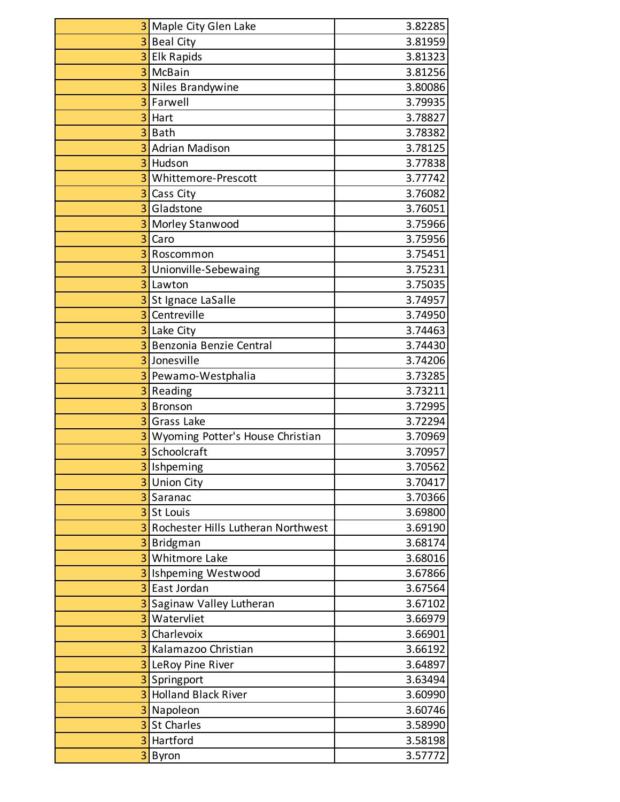|   | 3 Maple City Glen Lake               | 3.82285            |
|---|--------------------------------------|--------------------|
|   | 3 Beal City                          | 3.81959            |
|   | 3 Elk Rapids                         | 3.81323            |
|   | 3 McBain                             | 3.81256            |
|   | 3 Niles Brandywine                   | 3.80086            |
|   | 3 Farwell                            | 3.79935            |
|   | $3$ Hart                             | 3.78827            |
|   | 3Bath                                | 3.78382            |
|   | 3 Adrian Madison                     | 3.78125            |
|   | 3 Hudson                             | 3.77838            |
|   | 3 Whittemore-Prescott                | 3.77742            |
|   | 3 Cass City                          | 3.76082            |
|   | 3 Gladstone                          | 3.76051            |
|   | 3 Morley Stanwood                    | 3.75966            |
| 3 | Caro                                 | 3.75956            |
|   | 3 Roscommon                          | 3.75451            |
|   | 3 Unionville-Sebewaing               | 3.75231            |
|   | 3 Lawton                             | 3.75035            |
|   | 3 St Ignace LaSalle                  | 3.74957            |
|   | 3 Centreville                        | 3.74950            |
|   | 3 Lake City                          | 3.74463            |
|   | 3 Benzonia Benzie Central            | 3.74430            |
|   | 3 Jonesville                         | 3.74206            |
|   | 3 Pewamo-Westphalia                  | 3.73285            |
|   | 3 Reading                            | 3.73211            |
|   | 3 Bronson                            | 3.72995            |
|   | 3 Grass Lake                         | 3.72294            |
|   | 3 Wyoming Potter's House Christian   | 3.70969            |
|   | 3 Schoolcraft                        | 3.70957            |
|   | 3 Ishpeming                          | 3.70562            |
|   | <b>3</b> Union City                  | 3.70417            |
|   | 3 Saranac<br>3 St Louis              | 3.70366            |
|   | 3 Rochester Hills Lutheran Northwest | 3.69800            |
|   |                                      | 3.69190<br>3.68174 |
|   | 3 Bridgman<br>3 Whitmore Lake        | 3.68016            |
|   | 3 Ishpeming Westwood                 | 3.67866            |
|   | 3 East Jordan                        | 3.67564            |
|   | 3 Saginaw Valley Lutheran            | 3.67102            |
|   | 3 Watervliet                         | 3.66979            |
|   | 3 Charlevoix                         | 3.66901            |
|   | 3 Kalamazoo Christian                | 3.66192            |
|   | 3 LeRoy Pine River                   | 3.64897            |
|   | 3 Springport                         | 3.63494            |
|   | 3 Holland Black River                | 3.60990            |
|   | 3 Napoleon                           | 3.60746            |
|   | 3 St Charles                         | 3.58990            |
|   | 3 Hartford                           | 3.58198            |
|   | 3 Byron                              | 3.57772            |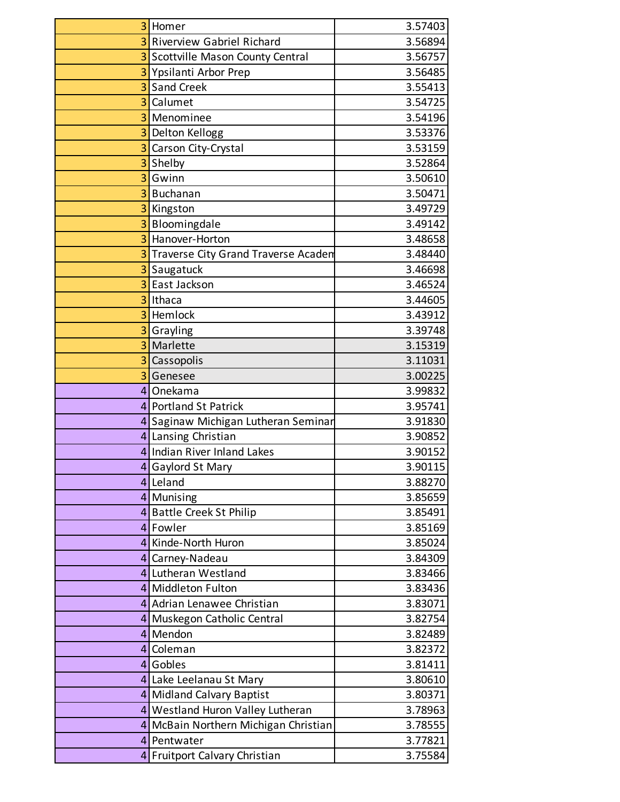|                | 3 Homer                              | 3.57403 |
|----------------|--------------------------------------|---------|
| $\overline{3}$ | <b>Riverview Gabriel Richard</b>     | 3.56894 |
| 3 <sup>1</sup> | Scottville Mason County Central      | 3.56757 |
|                | Ypsilanti Arbor Prep                 | 3.56485 |
|                | 3 Sand Creek                         | 3.55413 |
| $\overline{3}$ | Calumet                              | 3.54725 |
|                | 3 Menominee                          | 3.54196 |
|                | 3 Delton Kellogg                     | 3.53376 |
|                | 3 Carson City-Crystal                | 3.53159 |
| 3              | Shelby                               | 3.52864 |
| $\overline{3}$ | Gwinn                                | 3.50610 |
| $\overline{3}$ | Buchanan                             | 3.50471 |
|                | 3 Kingston                           | 3.49729 |
| 3              | Bloomingdale                         | 3.49142 |
|                | 3 Hanover-Horton                     | 3.48658 |
|                | Traverse City Grand Traverse Academ  | 3.48440 |
|                | 3 Saugatuck                          | 3.46698 |
| 3              | East Jackson                         | 3.46524 |
| $\overline{3}$ | Ithaca                               | 3.44605 |
| $\overline{3}$ | Hemlock                              | 3.43912 |
|                | <b>3</b> Grayling                    | 3.39748 |
| $\overline{3}$ | Marlette                             | 3.15319 |
| 3 <sup>1</sup> | Cassopolis                           | 3.11031 |
| 3              | Genesee                              | 3.00225 |
|                | 4 Onekama                            | 3.99832 |
|                | 4 Portland St Patrick                | 3.95741 |
|                | 4 Saginaw Michigan Lutheran Seminar  | 3.91830 |
|                | 4 Lansing Christian                  | 3.90852 |
|                | 4 Indian River Inland Lakes          | 3.90152 |
|                | 4 Gaylord St Mary                    | 3.90115 |
|                | 4 Leland                             | 3.88270 |
|                | 4 Munising                           | 3.85659 |
|                | 4 Battle Creek St Philip             | 3.85491 |
|                | 4 Fowler                             | 3.85169 |
|                | 4 Kinde-North Huron                  | 3.85024 |
|                | 4 Carney-Nadeau                      | 3.84309 |
|                | 4 Lutheran Westland                  | 3.83466 |
|                | 4 Middleton Fulton                   | 3.83436 |
|                | 4 Adrian Lenawee Christian           | 3.83071 |
|                | 4 Muskegon Catholic Central          | 3.82754 |
|                | 4 Mendon                             | 3.82489 |
|                | 4 Coleman                            | 3.82372 |
|                | 4 Gobles                             | 3.81411 |
|                | 4 Lake Leelanau St Mary              | 3.80610 |
|                | 4 Midland Calvary Baptist            | 3.80371 |
|                | 4 Westland Huron Valley Lutheran     | 3.78963 |
|                | 4 McBain Northern Michigan Christian | 3.78555 |
|                | 4 Pentwater                          | 3.77821 |
|                | 4 Fruitport Calvary Christian        | 3.75584 |